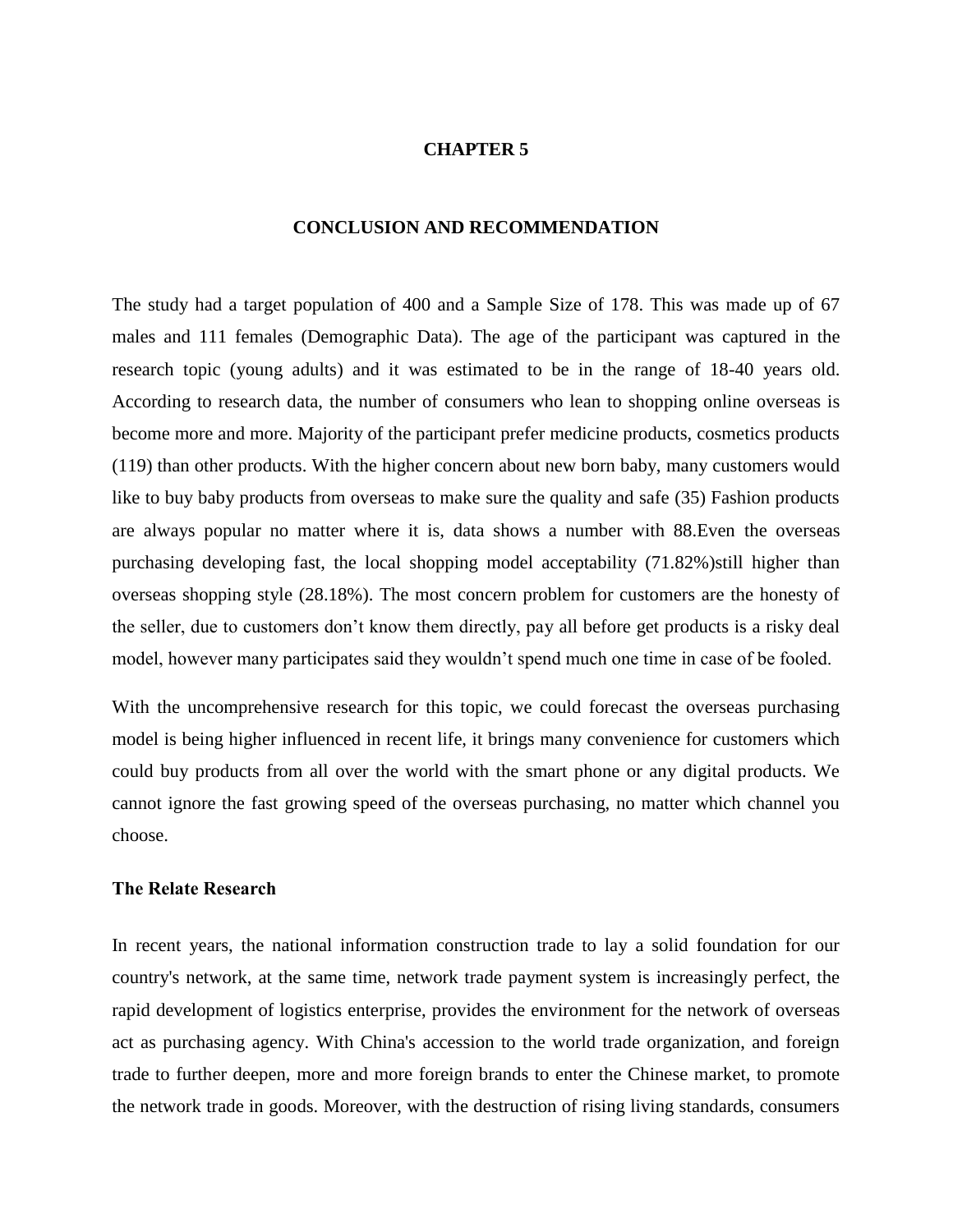# **CHAPTER 5**

#### **CONCLUSION AND RECOMMENDATION**

The study had a target population of 400 and a Sample Size of 178. This was made up of 67 males and 111 females (Demographic Data). The age of the participant was captured in the research topic (young adults) and it was estimated to be in the range of 18-40 years old. According to research data, the number of consumers who lean to shopping online overseas is become more and more. Majority of the participant prefer medicine products, cosmetics products (119) than other products. With the higher concern about new born baby, many customers would like to buy baby products from overseas to make sure the quality and safe (35) Fashion products are always popular no matter where it is, data shows a number with 88.Even the overseas purchasing developing fast, the local shopping model acceptability (71.82%)still higher than overseas shopping style (28.18%). The most concern problem for customers are the honesty of the seller, due to customers don't know them directly, pay all before get products is a risky deal model, however many participates said they wouldn't spend much one time in case of be fooled.

With the uncomprehensive research for this topic, we could forecast the overseas purchasing model is being higher influenced in recent life, it brings many convenience for customers which could buy products from all over the world with the smart phone or any digital products. We cannot ignore the fast growing speed of the overseas purchasing, no matter which channel you choose.

#### **The Relate Research**

In recent years, the national information construction trade to lay a solid foundation for our country's network, at the same time, network trade payment system is increasingly perfect, the rapid development of logistics enterprise, provides the environment for the network of overseas act as purchasing agency. With China's accession to the world trade organization, and foreign trade to further deepen, more and more foreign brands to enter the Chinese market, to promote the network trade in goods. Moreover, with the destruction of rising living standards, consumers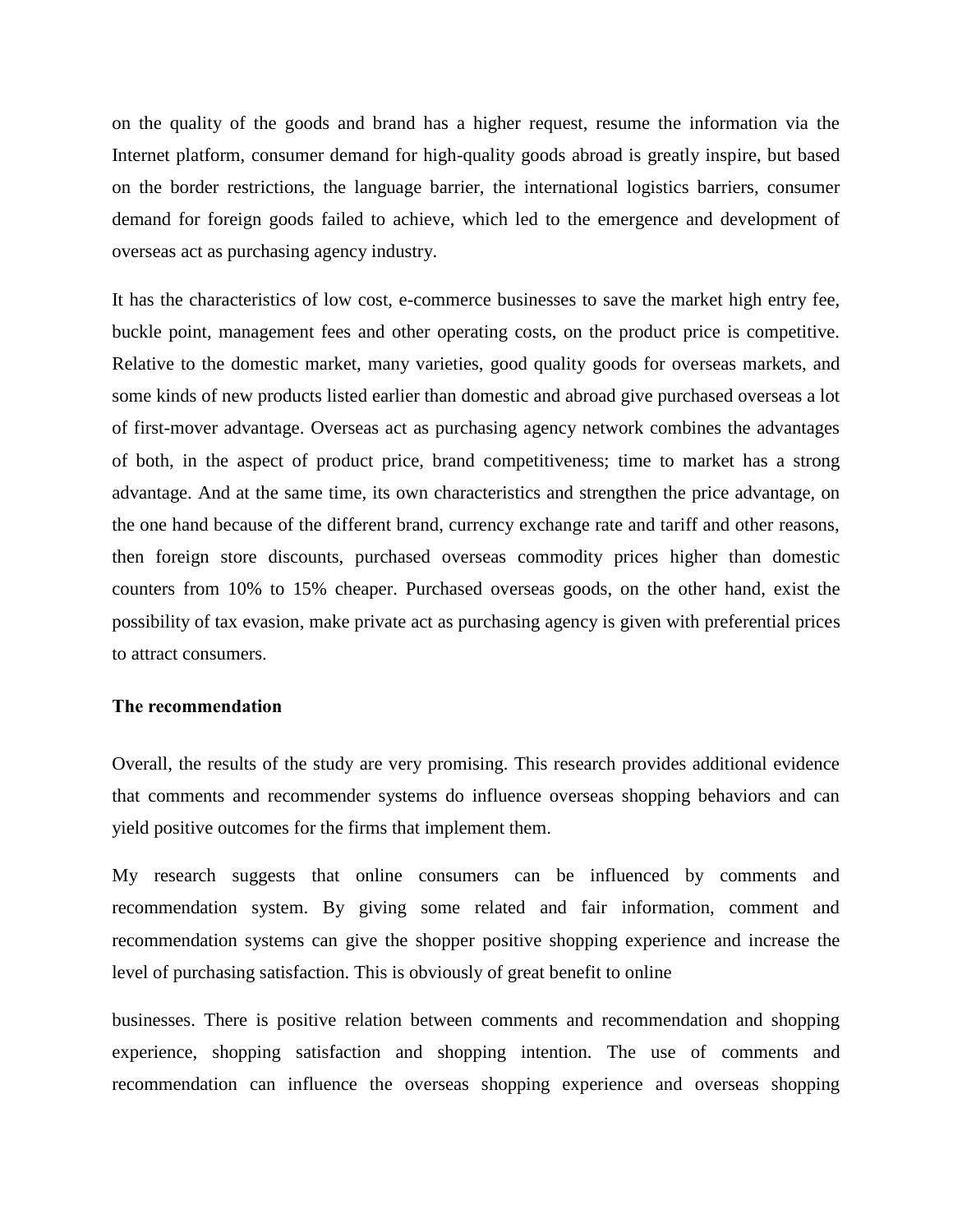on the quality of the goods and brand has a higher request, resume the information via the Internet platform, consumer demand for high-quality goods abroad is greatly inspire, but based on the border restrictions, the language barrier, the international logistics barriers, consumer demand for foreign goods failed to achieve, which led to the emergence and development of overseas act as purchasing agency industry.

It has the characteristics of low cost, e-commerce businesses to save the market high entry fee, buckle point, management fees and other operating costs, on the product price is competitive. Relative to the domestic market, many varieties, good quality goods for overseas markets, and some kinds of new products listed earlier than domestic and abroad give purchased overseas a lot of first-mover advantage. Overseas act as purchasing agency network combines the advantages of both, in the aspect of product price, brand competitiveness; time to market has a strong advantage. And at the same time, its own characteristics and strengthen the price advantage, on the one hand because of the different brand, currency exchange rate and tariff and other reasons, then foreign store discounts, purchased overseas commodity prices higher than domestic counters from 10% to 15% cheaper. Purchased overseas goods, on the other hand, exist the possibility of tax evasion, make private act as purchasing agency is given with preferential prices to attract consumers.

### **The recommendation**

Overall, the results of the study are very promising. This research provides additional evidence that comments and recommender systems do influence overseas shopping behaviors and can yield positive outcomes for the firms that implement them.

My research suggests that online consumers can be influenced by comments and recommendation system. By giving some related and fair information, comment and recommendation systems can give the shopper positive shopping experience and increase the level of purchasing satisfaction. This is obviously of great benefit to online

businesses. There is positive relation between comments and recommendation and shopping experience, shopping satisfaction and shopping intention. The use of comments and recommendation can influence the overseas shopping experience and overseas shopping